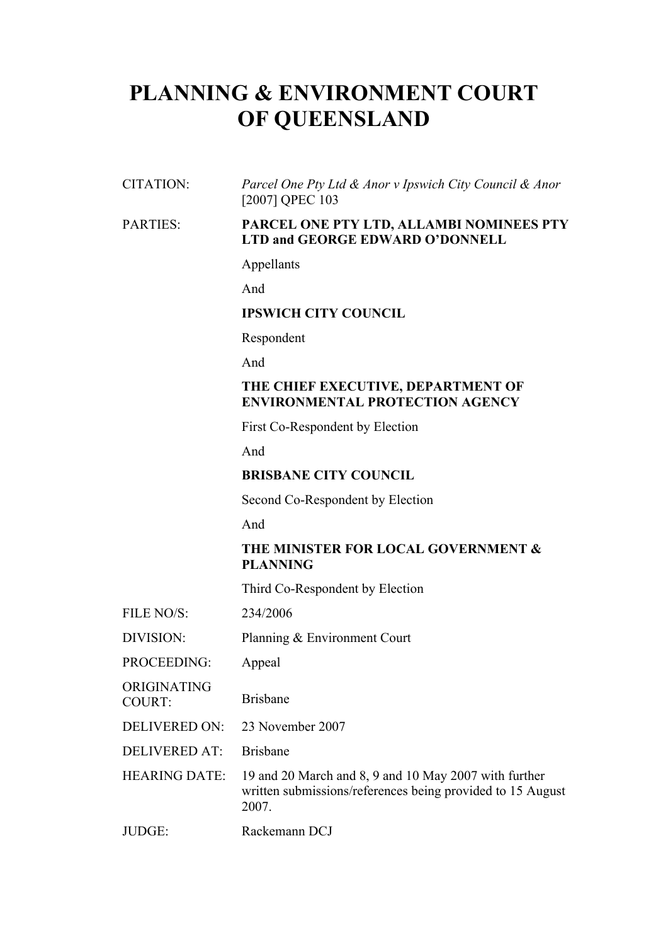# **PLANNING & ENVIRONMENT COURT OF QUEENSLAND**

CITATION: *Parcel One Pty Ltd & Anor v Ipswich City Council & Anor*  [2007] QPEC 103

#### PARTIES: **PARCEL ONE PTY LTD, ALLAMBI NOMINEES PTY LTD and GEORGE EDWARD O'DONNELL**

#### Appellants

And

# **IPSWICH CITY COUNCIL**

Respondent

And

## **THE CHIEF EXECUTIVE, DEPARTMENT OF ENVIRONMENTAL PROTECTION AGENCY**

First Co-Respondent by Election

And

# **BRISBANE CITY COUNCIL**

Second Co-Respondent by Election

And

# **THE MINISTER FOR LOCAL GOVERNMENT & PLANNING**

Third Co-Respondent by Election

| FILE NO/S:                   | 234/2006                                                                                                                     |
|------------------------------|------------------------------------------------------------------------------------------------------------------------------|
| DIVISION:                    | Planning & Environment Court                                                                                                 |
| PROCEEDING:                  | Appeal                                                                                                                       |
| ORIGINATING<br><b>COURT:</b> | <b>Brisbane</b>                                                                                                              |
| <b>DELIVERED ON:</b>         | 23 November 2007                                                                                                             |
| <b>DELIVERED AT:</b>         | <b>Brishane</b>                                                                                                              |
| <b>HEARING DATE:</b>         | 19 and 20 March and 8, 9 and 10 May 2007 with further<br>written submissions/references being provided to 15 August<br>2007. |
| JUDGE:                       | Rackemann DCJ                                                                                                                |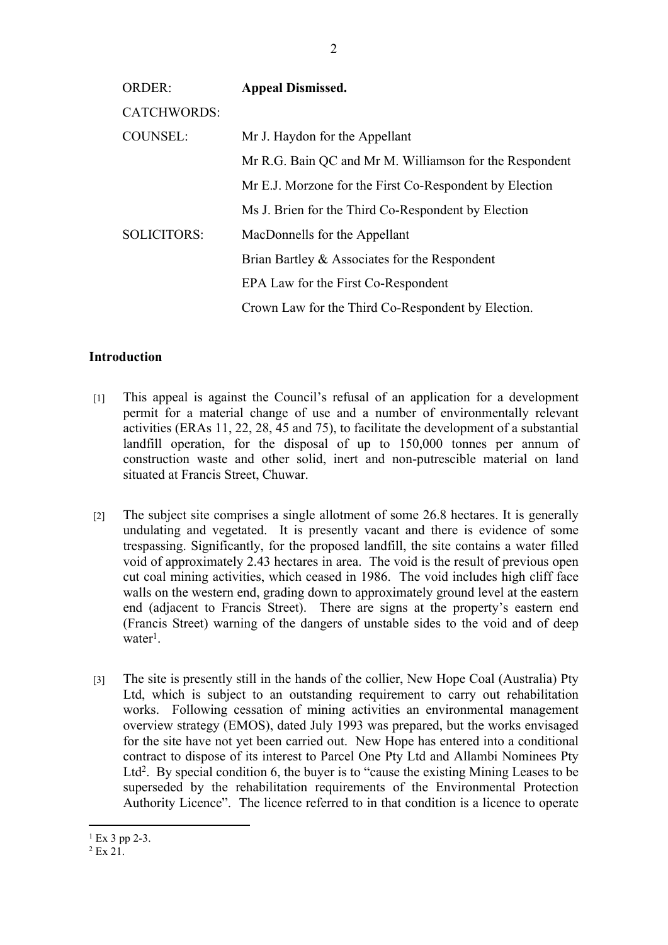| <b>ORDER:</b>      | <b>Appeal Dismissed.</b>                                |
|--------------------|---------------------------------------------------------|
| <b>CATCHWORDS:</b> |                                                         |
| <b>COUNSEL:</b>    | Mr J. Haydon for the Appellant                          |
|                    | Mr R.G. Bain QC and Mr M. Williamson for the Respondent |
|                    | Mr E.J. Morzone for the First Co-Respondent by Election |
|                    | Ms J. Brien for the Third Co-Respondent by Election     |
| <b>SOLICITORS:</b> | MacDonnells for the Appellant                           |
|                    | Brian Bartley & Associates for the Respondent           |
|                    | EPA Law for the First Co-Respondent                     |
|                    | Crown Law for the Third Co-Respondent by Election.      |

## **Introduction**

- [1] This appeal is against the Council's refusal of an application for a development permit for a material change of use and a number of environmentally relevant activities (ERAs 11, 22, 28, 45 and 75), to facilitate the development of a substantial landfill operation, for the disposal of up to 150,000 tonnes per annum of construction waste and other solid, inert and non-putrescible material on land situated at Francis Street, Chuwar.
- [2] The subject site comprises a single allotment of some 26.8 hectares. It is generally undulating and vegetated. It is presently vacant and there is evidence of some trespassing. Significantly, for the proposed landfill, the site contains a water filled void of approximately 2.43 hectares in area. The void is the result of previous open cut coal mining activities, which ceased in 1986. The void includes high cliff face walls on the western end, grading down to approximately ground level at the eastern end (adjacent to Francis Street). There are signs at the property's eastern end (Francis Street) warning of the dangers of unstable sides to the void and of deep water<sup>1</sup>.
- [3] The site is presently still in the hands of the collier, New Hope Coal (Australia) Pty Ltd, which is subject to an outstanding requirement to carry out rehabilitation works. Following cessation of mining activities an environmental management overview strategy (EMOS), dated July 1993 was prepared, but the works envisaged for the site have not yet been carried out. New Hope has entered into a conditional contract to dispose of its interest to Parcel One Pty Ltd and Allambi Nominees Pty Ltd<sup>2</sup>. By special condition 6, the buyer is to "cause the existing Mining Leases to be superseded by the rehabilitation requirements of the Environmental Protection Authority Licence". The licence referred to in that condition is a licence to operate

 $1$  Ex 3 pp 2-3.

<sup>2</sup> Ex 21.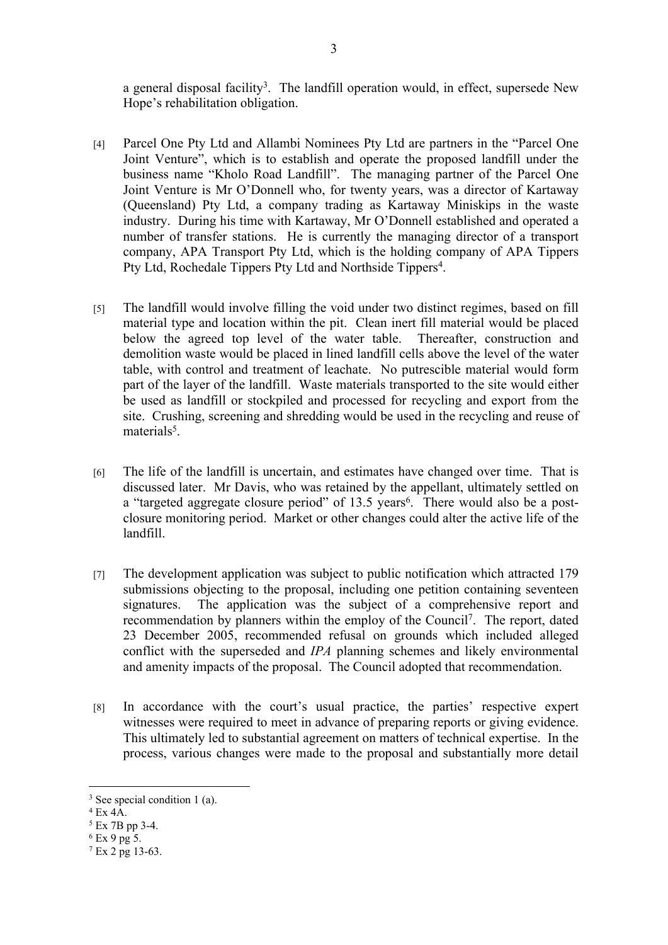a general disposal facility<sup>3</sup>. The landfill operation would, in effect, supersede New Hope's rehabilitation obligation.

- [4] Parcel One Pty Ltd and Allambi Nominees Pty Ltd are partners in the "Parcel One Joint Venture", which is to establish and operate the proposed landfill under the business name "Kholo Road Landfill". The managing partner of the Parcel One Joint Venture is Mr O'Donnell who, for twenty years, was a director of Kartaway (Queensland) Pty Ltd, a company trading as Kartaway Miniskips in the waste industry. During his time with Kartaway, Mr O'Donnell established and operated a number of transfer stations. He is currently the managing director of a transport company, APA Transport Pty Ltd, which is the holding company of APA Tippers Pty Ltd, Rochedale Tippers Pty Ltd and Northside Tippers<sup>4</sup>.
- [5] The landfill would involve filling the void under two distinct regimes, based on fill material type and location within the pit. Clean inert fill material would be placed below the agreed top level of the water table. Thereafter, construction and demolition waste would be placed in lined landfill cells above the level of the water table, with control and treatment of leachate. No putrescible material would form part of the layer of the landfill. Waste materials transported to the site would either be used as landfill or stockpiled and processed for recycling and export from the site. Crushing, screening and shredding would be used in the recycling and reuse of materials<sup>5</sup>.
- [6] The life of the landfill is uncertain, and estimates have changed over time. That is discussed later. Mr Davis, who was retained by the appellant, ultimately settled on a "targeted aggregate closure period" of 13.5 years<sup>6</sup>. There would also be a postclosure monitoring period. Market or other changes could alter the active life of the landfill.
- [7] The development application was subject to public notification which attracted 179 submissions objecting to the proposal, including one petition containing seventeen signatures. The application was the subject of a comprehensive report and recommendation by planners within the employ of the Council<sup>7</sup> . The report, dated 23 December 2005, recommended refusal on grounds which included alleged conflict with the superseded and *IPA* planning schemes and likely environmental and amenity impacts of the proposal. The Council adopted that recommendation.
- [8] In accordance with the court's usual practice, the parties' respective expert witnesses were required to meet in advance of preparing reports or giving evidence. This ultimately led to substantial agreement on matters of technical expertise. In the process, various changes were made to the proposal and substantially more detail

<sup>3</sup> See special condition 1 (a).

<sup>4</sup> Ex 4A.

<sup>5</sup> Ex 7B pp 3-4.

<sup>6</sup> Ex 9 pg 5.

<sup>7</sup> Ex 2 pg 13-63.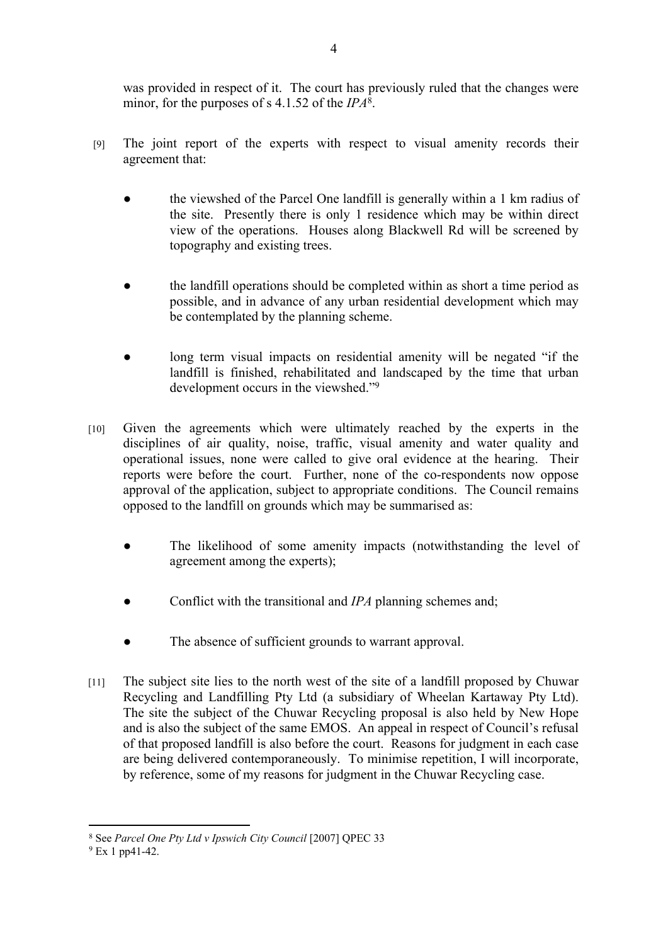was provided in respect of it. The court has previously ruled that the changes were minor, for the purposes of s 4.1.52 of the *IPA*<sup>8</sup> .

- [9] The joint report of the experts with respect to visual amenity records their agreement that:
	- the viewshed of the Parcel One landfill is generally within a 1 km radius of the site. Presently there is only 1 residence which may be within direct view of the operations. Houses along Blackwell Rd will be screened by topography and existing trees.
	- the landfill operations should be completed within as short a time period as possible, and in advance of any urban residential development which may be contemplated by the planning scheme.
	- long term visual impacts on residential amenity will be negated "if the landfill is finished, rehabilitated and landscaped by the time that urban development occurs in the viewshed."<sup>9</sup>
- [10] Given the agreements which were ultimately reached by the experts in the disciplines of air quality, noise, traffic, visual amenity and water quality and operational issues, none were called to give oral evidence at the hearing. Their reports were before the court. Further, none of the co-respondents now oppose approval of the application, subject to appropriate conditions. The Council remains opposed to the landfill on grounds which may be summarised as:
	- The likelihood of some amenity impacts (notwithstanding the level of agreement among the experts);
	- Conflict with the transitional and *IPA* planning schemes and;
	- The absence of sufficient grounds to warrant approval.
- [11] The subject site lies to the north west of the site of a landfill proposed by Chuwar Recycling and Landfilling Pty Ltd (a subsidiary of Wheelan Kartaway Pty Ltd). The site the subject of the Chuwar Recycling proposal is also held by New Hope and is also the subject of the same EMOS. An appeal in respect of Council's refusal of that proposed landfill is also before the court. Reasons for judgment in each case are being delivered contemporaneously. To minimise repetition, I will incorporate, by reference, some of my reasons for judgment in the Chuwar Recycling case.

<sup>8</sup> See *Parcel One Pty Ltd v Ipswich City Council* [2007] QPEC 33

<sup>9</sup> Ex 1 pp41-42.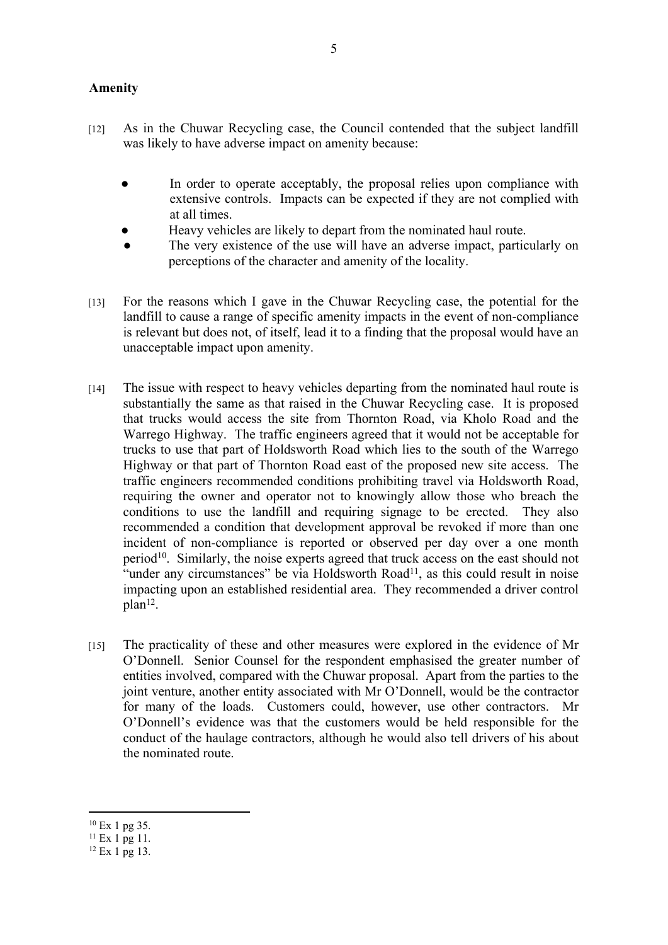## **Amenity**

- [12] As in the Chuwar Recycling case, the Council contended that the subject landfill was likely to have adverse impact on amenity because:
	- In order to operate acceptably, the proposal relies upon compliance with extensive controls. Impacts can be expected if they are not complied with at all times.
	- Heavy vehicles are likely to depart from the nominated haul route.
	- The very existence of the use will have an adverse impact, particularly on perceptions of the character and amenity of the locality.
- [13] For the reasons which I gave in the Chuwar Recycling case, the potential for the landfill to cause a range of specific amenity impacts in the event of non-compliance is relevant but does not, of itself, lead it to a finding that the proposal would have an unacceptable impact upon amenity.
- [14] The issue with respect to heavy vehicles departing from the nominated haul route is substantially the same as that raised in the Chuwar Recycling case. It is proposed that trucks would access the site from Thornton Road, via Kholo Road and the Warrego Highway. The traffic engineers agreed that it would not be acceptable for trucks to use that part of Holdsworth Road which lies to the south of the Warrego Highway or that part of Thornton Road east of the proposed new site access. The traffic engineers recommended conditions prohibiting travel via Holdsworth Road, requiring the owner and operator not to knowingly allow those who breach the conditions to use the landfill and requiring signage to be erected. They also recommended a condition that development approval be revoked if more than one incident of non-compliance is reported or observed per day over a one month  $period<sup>10</sup>$ . Similarly, the noise experts agreed that truck access on the east should not "under any circumstances" be via Holdsworth Road<sup>11</sup>, as this could result in noise impacting upon an established residential area. They recommended a driver control plan<sup>12</sup>.
- [15] The practicality of these and other measures were explored in the evidence of Mr O'Donnell. Senior Counsel for the respondent emphasised the greater number of entities involved, compared with the Chuwar proposal. Apart from the parties to the joint venture, another entity associated with Mr O'Donnell, would be the contractor for many of the loads. Customers could, however, use other contractors. Mr O'Donnell's evidence was that the customers would be held responsible for the conduct of the haulage contractors, although he would also tell drivers of his about the nominated route.

<sup>10</sup> Ex 1 pg 35.

<sup>11</sup> Ex 1 pg 11.

<sup>12</sup> Ex 1 pg 13.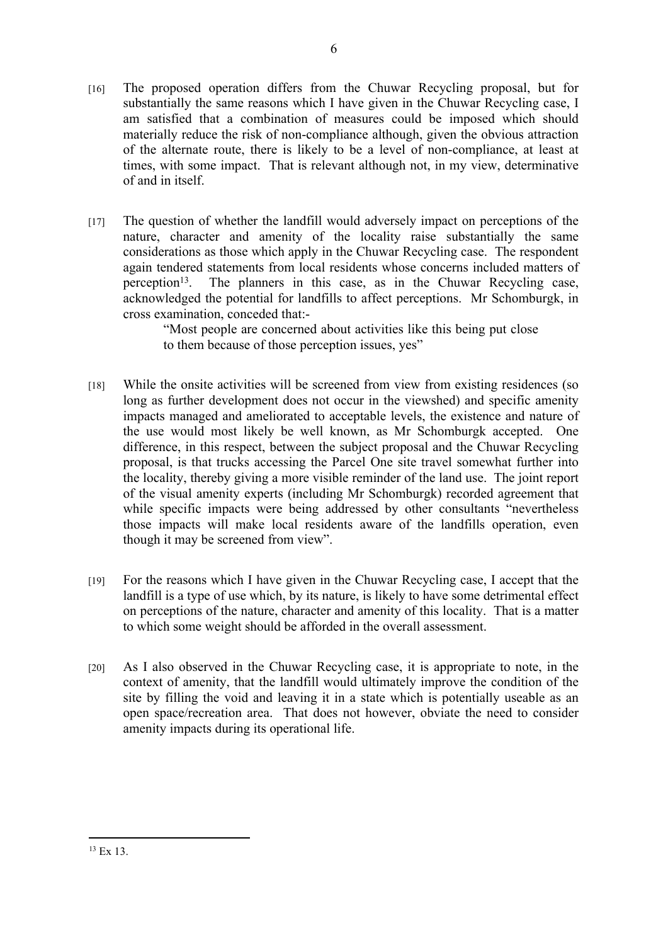- [16] The proposed operation differs from the Chuwar Recycling proposal, but for substantially the same reasons which I have given in the Chuwar Recycling case, I am satisfied that a combination of measures could be imposed which should materially reduce the risk of non-compliance although, given the obvious attraction of the alternate route, there is likely to be a level of non-compliance, at least at times, with some impact. That is relevant although not, in my view, determinative of and in itself.
- [17] The question of whether the landfill would adversely impact on perceptions of the nature, character and amenity of the locality raise substantially the same considerations as those which apply in the Chuwar Recycling case. The respondent again tendered statements from local residents whose concerns included matters of perception<sup>13</sup>. The planners in this case, as in the Chuwar Recycling case, acknowledged the potential for landfills to affect perceptions. Mr Schomburgk, in cross examination, conceded that:-

"Most people are concerned about activities like this being put close to them because of those perception issues, yes"

- [18] While the onsite activities will be screened from view from existing residences (so long as further development does not occur in the viewshed) and specific amenity impacts managed and ameliorated to acceptable levels, the existence and nature of the use would most likely be well known, as Mr Schomburgk accepted. One difference, in this respect, between the subject proposal and the Chuwar Recycling proposal, is that trucks accessing the Parcel One site travel somewhat further into the locality, thereby giving a more visible reminder of the land use. The joint report of the visual amenity experts (including Mr Schomburgk) recorded agreement that while specific impacts were being addressed by other consultants "nevertheless those impacts will make local residents aware of the landfills operation, even though it may be screened from view".
- [19] For the reasons which I have given in the Chuwar Recycling case, I accept that the landfill is a type of use which, by its nature, is likely to have some detrimental effect on perceptions of the nature, character and amenity of this locality. That is a matter to which some weight should be afforded in the overall assessment.
- [20] As I also observed in the Chuwar Recycling case, it is appropriate to note, in the context of amenity, that the landfill would ultimately improve the condition of the site by filling the void and leaving it in a state which is potentially useable as an open space/recreation area. That does not however, obviate the need to consider amenity impacts during its operational life.

<sup>13</sup> Ex 13.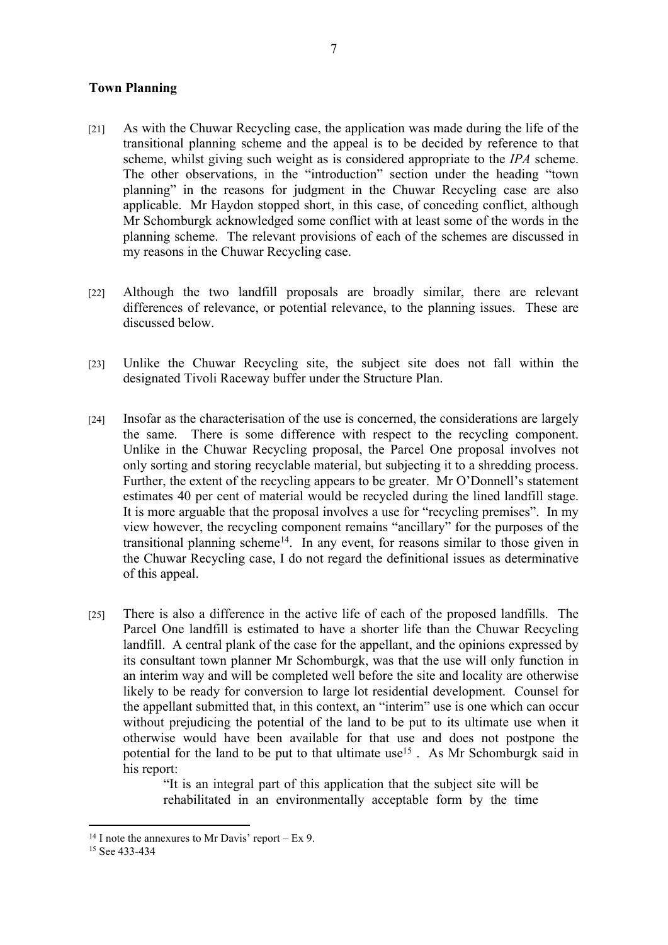### **Town Planning**

- [21] As with the Chuwar Recycling case, the application was made during the life of the transitional planning scheme and the appeal is to be decided by reference to that scheme, whilst giving such weight as is considered appropriate to the *IPA* scheme. The other observations, in the "introduction" section under the heading "town planning" in the reasons for judgment in the Chuwar Recycling case are also applicable. Mr Haydon stopped short, in this case, of conceding conflict, although Mr Schomburgk acknowledged some conflict with at least some of the words in the planning scheme. The relevant provisions of each of the schemes are discussed in my reasons in the Chuwar Recycling case.
- [22] Although the two landfill proposals are broadly similar, there are relevant differences of relevance, or potential relevance, to the planning issues. These are discussed below.
- [23] Unlike the Chuwar Recycling site, the subject site does not fall within the designated Tivoli Raceway buffer under the Structure Plan.
- [24] Insofar as the characterisation of the use is concerned, the considerations are largely the same. There is some difference with respect to the recycling component. Unlike in the Chuwar Recycling proposal, the Parcel One proposal involves not only sorting and storing recyclable material, but subjecting it to a shredding process. Further, the extent of the recycling appears to be greater. Mr O'Donnell's statement estimates 40 per cent of material would be recycled during the lined landfill stage. It is more arguable that the proposal involves a use for "recycling premises". In my view however, the recycling component remains "ancillary" for the purposes of the transitional planning scheme<sup>14</sup>. In any event, for reasons similar to those given in the Chuwar Recycling case, I do not regard the definitional issues as determinative of this appeal.
- [25] There is also a difference in the active life of each of the proposed landfills. The Parcel One landfill is estimated to have a shorter life than the Chuwar Recycling landfill. A central plank of the case for the appellant, and the opinions expressed by its consultant town planner Mr Schomburgk, was that the use will only function in an interim way and will be completed well before the site and locality are otherwise likely to be ready for conversion to large lot residential development. Counsel for the appellant submitted that, in this context, an "interim" use is one which can occur without prejudicing the potential of the land to be put to its ultimate use when it otherwise would have been available for that use and does not postpone the potential for the land to be put to that ultimate use<sup>15</sup>. As Mr Schomburgk said in his report:

"It is an integral part of this application that the subject site will be rehabilitated in an environmentally acceptable form by the time

<sup>&</sup>lt;sup>14</sup> I note the annexures to Mr Davis' report – Ex 9.

<sup>15</sup> See 433-434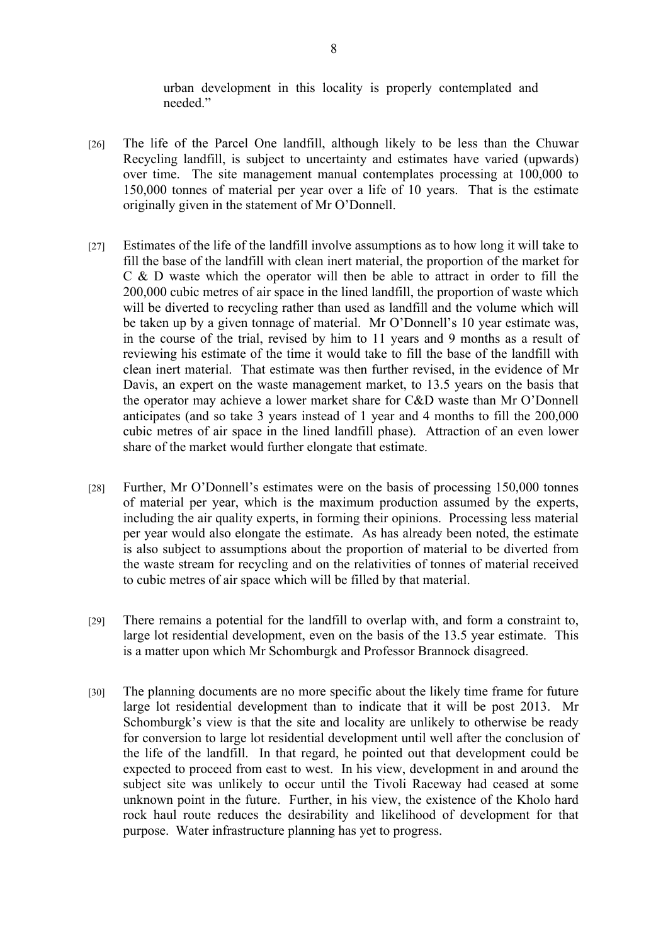urban development in this locality is properly contemplated and needed."

- [26] The life of the Parcel One landfill, although likely to be less than the Chuwar Recycling landfill, is subject to uncertainty and estimates have varied (upwards) over time. The site management manual contemplates processing at 100,000 to 150,000 tonnes of material per year over a life of 10 years. That is the estimate originally given in the statement of Mr O'Donnell.
- [27] Estimates of the life of the landfill involve assumptions as to how long it will take to fill the base of the landfill with clean inert material, the proportion of the market for C & D waste which the operator will then be able to attract in order to fill the 200,000 cubic metres of air space in the lined landfill, the proportion of waste which will be diverted to recycling rather than used as landfill and the volume which will be taken up by a given tonnage of material. Mr O'Donnell's 10 year estimate was, in the course of the trial, revised by him to 11 years and 9 months as a result of reviewing his estimate of the time it would take to fill the base of the landfill with clean inert material. That estimate was then further revised, in the evidence of Mr Davis, an expert on the waste management market, to 13.5 years on the basis that the operator may achieve a lower market share for C&D waste than Mr O'Donnell anticipates (and so take 3 years instead of 1 year and 4 months to fill the 200,000 cubic metres of air space in the lined landfill phase). Attraction of an even lower share of the market would further elongate that estimate.
- [28] Further, Mr O'Donnell's estimates were on the basis of processing 150,000 tonnes of material per year, which is the maximum production assumed by the experts, including the air quality experts, in forming their opinions. Processing less material per year would also elongate the estimate. As has already been noted, the estimate is also subject to assumptions about the proportion of material to be diverted from the waste stream for recycling and on the relativities of tonnes of material received to cubic metres of air space which will be filled by that material.
- [29] There remains a potential for the landfill to overlap with, and form a constraint to, large lot residential development, even on the basis of the 13.5 year estimate. This is a matter upon which Mr Schomburgk and Professor Brannock disagreed.
- [30] The planning documents are no more specific about the likely time frame for future large lot residential development than to indicate that it will be post 2013. Mr Schomburgk's view is that the site and locality are unlikely to otherwise be ready for conversion to large lot residential development until well after the conclusion of the life of the landfill. In that regard, he pointed out that development could be expected to proceed from east to west. In his view, development in and around the subject site was unlikely to occur until the Tivoli Raceway had ceased at some unknown point in the future. Further, in his view, the existence of the Kholo hard rock haul route reduces the desirability and likelihood of development for that purpose. Water infrastructure planning has yet to progress.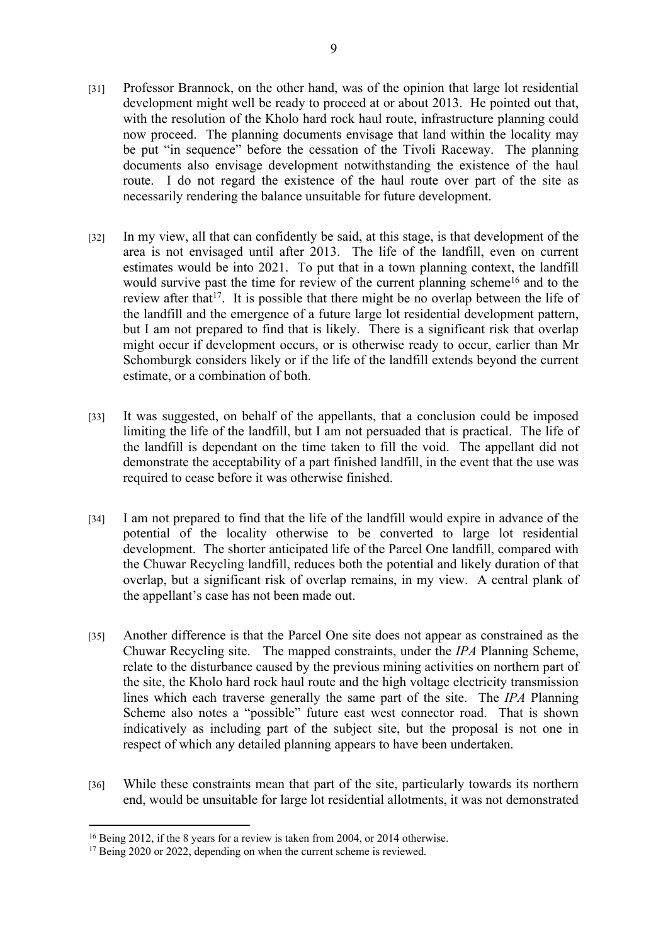- [31] Professor Brannock, on the other hand, was of the opinion that large lot residential development might well be ready to proceed at or about 2013. He pointed out that, with the resolution of the Kholo hard rock haul route, infrastructure planning could now proceed. The planning documents envisage that land within the locality may be put "in sequence" before the cessation of the Tivoli Raceway. The planning documents also envisage development notwithstanding the existence of the haul route. I do not regard the existence of the haul route over part of the site as necessarily rendering the balance unsuitable for future development.
- [32] In my view, all that can confidently be said, at this stage, is that development of the area is not envisaged until after 2013. The life of the landfill, even on current estimates would be into 2021. To put that in a town planning context, the landfill would survive past the time for review of the current planning scheme<sup>16</sup> and to the review after that<sup>17</sup>. It is possible that there might be no overlap between the life of the landfill and the emergence of a future large lot residential development pattern, but I am not prepared to find that is likely. There is a significant risk that overlap might occur if development occurs, or is otherwise ready to occur, earlier than Mr Schomburgk considers likely or if the life of the landfill extends beyond the current estimate, or a combination of both.
- [33] It was suggested, on behalf of the appellants, that a conclusion could be imposed limiting the life of the landfill, but I am not persuaded that is practical. The life of the landfill is dependant on the time taken to fill the void. The appellant did not demonstrate the acceptability of a part finished landfill, in the event that the use was required to cease before it was otherwise finished.
- [34] I am not prepared to find that the life of the landfill would expire in advance of the potential of the locality otherwise to be converted to large lot residential development. The shorter anticipated life of the Parcel One landfill, compared with the Chuwar Recycling landfill, reduces both the potential and likely duration of that overlap, but a significant risk of overlap remains, in my view. A central plank of the appellant's case has not been made out.
- [35] Another difference is that the Parcel One site does not appear as constrained as the Chuwar Recycling site. The mapped constraints, under the *IPA* Planning Scheme, relate to the disturbance caused by the previous mining activities on northern part of the site, the Kholo hard rock haul route and the high voltage electricity transmission lines which each traverse generally the same part of the site. The *IPA* Planning Scheme also notes a "possible" future east west connector road. That is shown indicatively as including part of the subject site, but the proposal is not one in respect of which any detailed planning appears to have been undertaken.
- [36] While these constraints mean that part of the site, particularly towards its northern end, would be unsuitable for large lot residential allotments, it was not demonstrated

<sup>16</sup> Being 2012, if the 8 years for a review is taken from 2004, or 2014 otherwise.

<sup>&</sup>lt;sup>17</sup> Being 2020 or 2022, depending on when the current scheme is reviewed.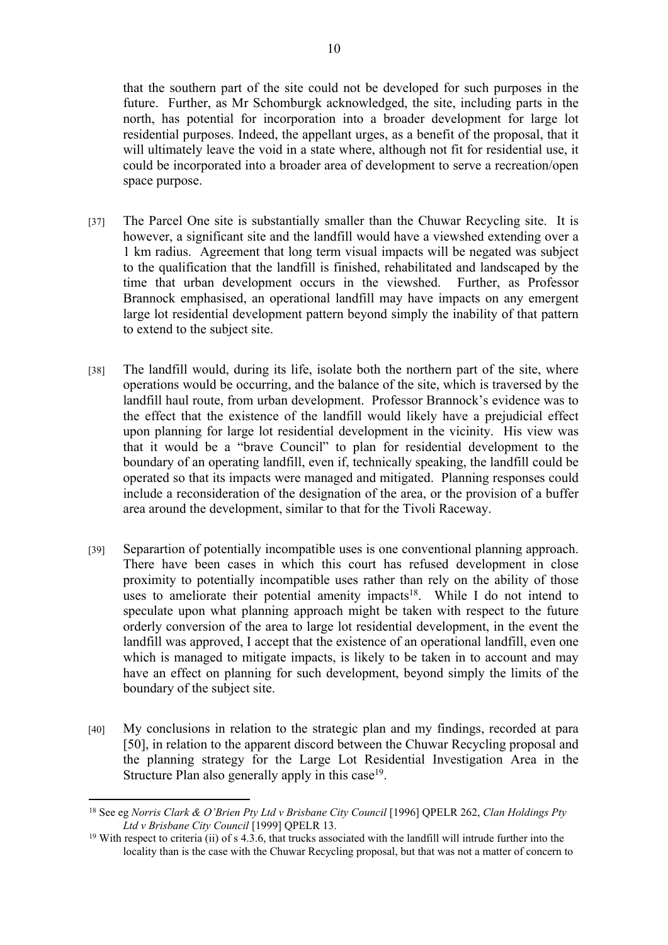that the southern part of the site could not be developed for such purposes in the future. Further, as Mr Schomburgk acknowledged, the site, including parts in the north, has potential for incorporation into a broader development for large lot residential purposes. Indeed, the appellant urges, as a benefit of the proposal, that it will ultimately leave the void in a state where, although not fit for residential use, it could be incorporated into a broader area of development to serve a recreation/open space purpose.

- [37] The Parcel One site is substantially smaller than the Chuwar Recycling site. It is however, a significant site and the landfill would have a viewshed extending over a 1 km radius. Agreement that long term visual impacts will be negated was subject to the qualification that the landfill is finished, rehabilitated and landscaped by the time that urban development occurs in the viewshed. Further, as Professor Brannock emphasised, an operational landfill may have impacts on any emergent large lot residential development pattern beyond simply the inability of that pattern to extend to the subject site.
- [38] The landfill would, during its life, isolate both the northern part of the site, where operations would be occurring, and the balance of the site, which is traversed by the landfill haul route, from urban development. Professor Brannock's evidence was to the effect that the existence of the landfill would likely have a prejudicial effect upon planning for large lot residential development in the vicinity. His view was that it would be a "brave Council" to plan for residential development to the boundary of an operating landfill, even if, technically speaking, the landfill could be operated so that its impacts were managed and mitigated. Planning responses could include a reconsideration of the designation of the area, or the provision of a buffer area around the development, similar to that for the Tivoli Raceway.
- [39] Separartion of potentially incompatible uses is one conventional planning approach. There have been cases in which this court has refused development in close proximity to potentially incompatible uses rather than rely on the ability of those uses to ameliorate their potential amenity impacts<sup>18</sup>. While I do not intend to speculate upon what planning approach might be taken with respect to the future orderly conversion of the area to large lot residential development, in the event the landfill was approved, I accept that the existence of an operational landfill, even one which is managed to mitigate impacts, is likely to be taken in to account and may have an effect on planning for such development, beyond simply the limits of the boundary of the subject site.
- [40] My conclusions in relation to the strategic plan and my findings, recorded at para [50], in relation to the apparent discord between the Chuwar Recycling proposal and the planning strategy for the Large Lot Residential Investigation Area in the Structure Plan also generally apply in this case<sup>19</sup>.

<sup>18</sup> See eg *Norris Clark & O'Brien Pty Ltd v Brisbane City Council* [1996] QPELR 262, *Clan Holdings Pty Ltd v Brisbane City Council* [1999] QPELR 13.

<sup>19</sup> With respect to criteria (ii) of s 4.3.6, that trucks associated with the landfill will intrude further into the locality than is the case with the Chuwar Recycling proposal, but that was not a matter of concern to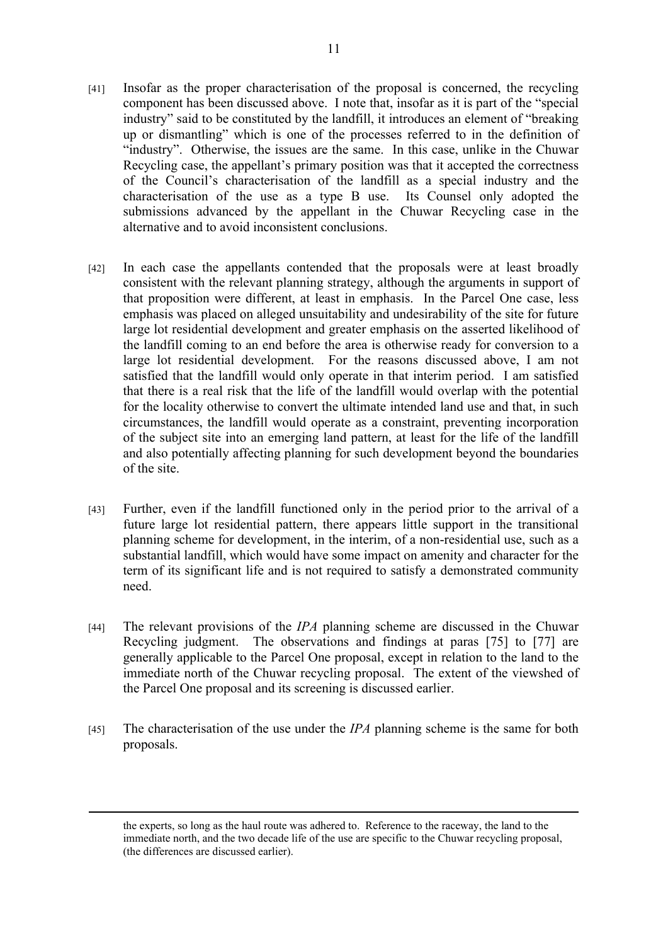- [41] Insofar as the proper characterisation of the proposal is concerned, the recycling component has been discussed above. I note that, insofar as it is part of the "special industry" said to be constituted by the landfill, it introduces an element of "breaking up or dismantling" which is one of the processes referred to in the definition of "industry". Otherwise, the issues are the same. In this case, unlike in the Chuwar Recycling case, the appellant's primary position was that it accepted the correctness of the Council's characterisation of the landfill as a special industry and the characterisation of the use as a type B use. Its Counsel only adopted the submissions advanced by the appellant in the Chuwar Recycling case in the alternative and to avoid inconsistent conclusions.
- [42] In each case the appellants contended that the proposals were at least broadly consistent with the relevant planning strategy, although the arguments in support of that proposition were different, at least in emphasis. In the Parcel One case, less emphasis was placed on alleged unsuitability and undesirability of the site for future large lot residential development and greater emphasis on the asserted likelihood of the landfill coming to an end before the area is otherwise ready for conversion to a large lot residential development. For the reasons discussed above, I am not satisfied that the landfill would only operate in that interim period. I am satisfied that there is a real risk that the life of the landfill would overlap with the potential for the locality otherwise to convert the ultimate intended land use and that, in such circumstances, the landfill would operate as a constraint, preventing incorporation of the subject site into an emerging land pattern, at least for the life of the landfill and also potentially affecting planning for such development beyond the boundaries of the site.
- [43] Further, even if the landfill functioned only in the period prior to the arrival of a future large lot residential pattern, there appears little support in the transitional planning scheme for development, in the interim, of a non-residential use, such as a substantial landfill, which would have some impact on amenity and character for the term of its significant life and is not required to satisfy a demonstrated community need.
- [44] The relevant provisions of the *IPA* planning scheme are discussed in the Chuwar Recycling judgment. The observations and findings at paras [75] to [77] are generally applicable to the Parcel One proposal, except in relation to the land to the immediate north of the Chuwar recycling proposal. The extent of the viewshed of the Parcel One proposal and its screening is discussed earlier.
- [45] The characterisation of the use under the *IPA* planning scheme is the same for both proposals.

the experts, so long as the haul route was adhered to. Reference to the raceway, the land to the immediate north, and the two decade life of the use are specific to the Chuwar recycling proposal, (the differences are discussed earlier).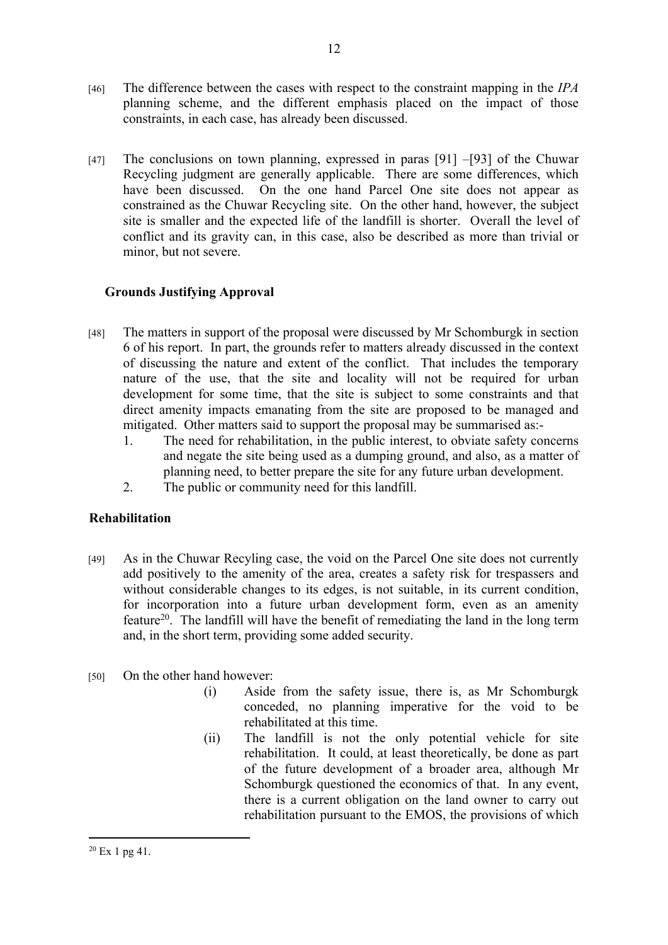- [46] The difference between the cases with respect to the constraint mapping in the *IPA* planning scheme, and the different emphasis placed on the impact of those constraints, in each case, has already been discussed.
- [47] The conclusions on town planning, expressed in paras [91] –[93] of the Chuwar Recycling judgment are generally applicable. There are some differences, which have been discussed. On the one hand Parcel One site does not appear as constrained as the Chuwar Recycling site. On the other hand, however, the subject site is smaller and the expected life of the landfill is shorter. Overall the level of conflict and its gravity can, in this case, also be described as more than trivial or minor, but not severe.

# **Grounds Justifying Approval**

- [48] The matters in support of the proposal were discussed by Mr Schomburgk in section 6 of his report. In part, the grounds refer to matters already discussed in the context of discussing the nature and extent of the conflict. That includes the temporary nature of the use, that the site and locality will not be required for urban development for some time, that the site is subject to some constraints and that direct amenity impacts emanating from the site are proposed to be managed and mitigated. Other matters said to support the proposal may be summarised as:-
	- 1. The need for rehabilitation, in the public interest, to obviate safety concerns and negate the site being used as a dumping ground, and also, as a matter of planning need, to better prepare the site for any future urban development.
	- 2. The public or community need for this landfill.

# **Rehabilitation**

[49] As in the Chuwar Recyling case, the void on the Parcel One site does not currently add positively to the amenity of the area, creates a safety risk for trespassers and without considerable changes to its edges, is not suitable, in its current condition, for incorporation into a future urban development form, even as an amenity feature<sup>20</sup>. The landfill will have the benefit of remediating the land in the long term and, in the short term, providing some added security.

# [50] On the other hand however:

- (i) Aside from the safety issue, there is, as Mr Schomburgk conceded, no planning imperative for the void to be rehabilitated at this time.
- (ii) The landfill is not the only potential vehicle for site rehabilitation. It could, at least theoretically, be done as part of the future development of a broader area, although Mr Schomburgk questioned the economics of that. In any event, there is a current obligation on the land owner to carry out rehabilitation pursuant to the EMOS, the provisions of which

 $20$  Ex 1 pg 41.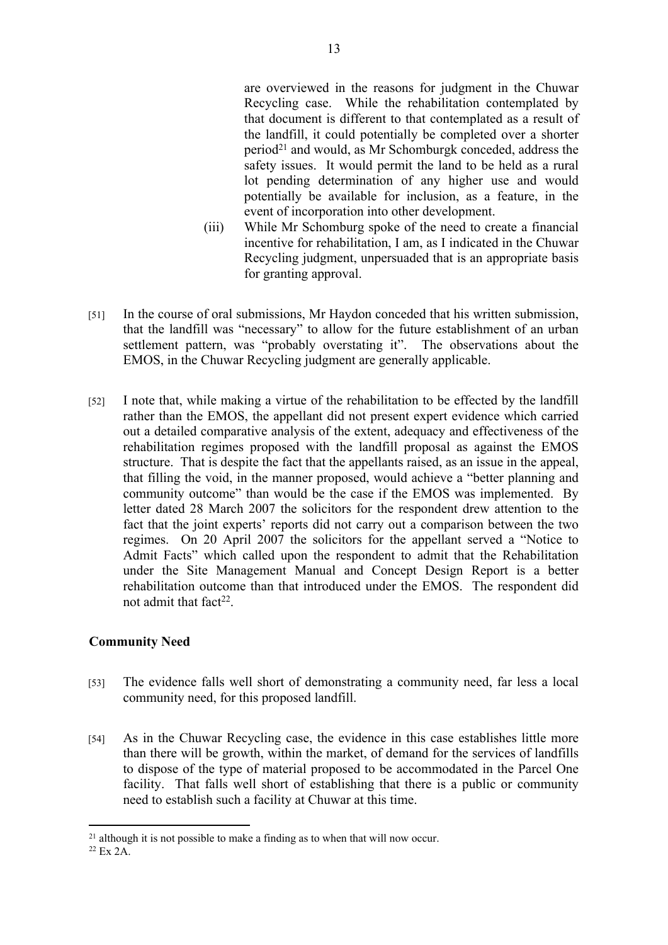are overviewed in the reasons for judgment in the Chuwar Recycling case. While the rehabilitation contemplated by that document is different to that contemplated as a result of the landfill, it could potentially be completed over a shorter period<sup>21</sup> and would, as Mr Schomburgk conceded, address the safety issues. It would permit the land to be held as a rural lot pending determination of any higher use and would potentially be available for inclusion, as a feature, in the event of incorporation into other development.

- (iii) While Mr Schomburg spoke of the need to create a financial incentive for rehabilitation, I am, as I indicated in the Chuwar Recycling judgment, unpersuaded that is an appropriate basis for granting approval.
- [51] In the course of oral submissions, Mr Haydon conceded that his written submission, that the landfill was "necessary" to allow for the future establishment of an urban settlement pattern, was "probably overstating it". The observations about the EMOS, in the Chuwar Recycling judgment are generally applicable.
- [52] I note that, while making a virtue of the rehabilitation to be effected by the landfill rather than the EMOS, the appellant did not present expert evidence which carried out a detailed comparative analysis of the extent, adequacy and effectiveness of the rehabilitation regimes proposed with the landfill proposal as against the EMOS structure. That is despite the fact that the appellants raised, as an issue in the appeal, that filling the void, in the manner proposed, would achieve a "better planning and community outcome" than would be the case if the EMOS was implemented. By letter dated 28 March 2007 the solicitors for the respondent drew attention to the fact that the joint experts' reports did not carry out a comparison between the two regimes. On 20 April 2007 the solicitors for the appellant served a "Notice to Admit Facts" which called upon the respondent to admit that the Rehabilitation under the Site Management Manual and Concept Design Report is a better rehabilitation outcome than that introduced under the EMOS. The respondent did not admit that fact<sup>22</sup>.

# **Community Need**

- [53] The evidence falls well short of demonstrating a community need, far less a local community need, for this proposed landfill.
- [54] As in the Chuwar Recycling case, the evidence in this case establishes little more than there will be growth, within the market, of demand for the services of landfills to dispose of the type of material proposed to be accommodated in the Parcel One facility. That falls well short of establishing that there is a public or community need to establish such a facility at Chuwar at this time.

<sup>&</sup>lt;sup>21</sup> although it is not possible to make a finding as to when that will now occur.

<sup>22</sup> Ex 2A.